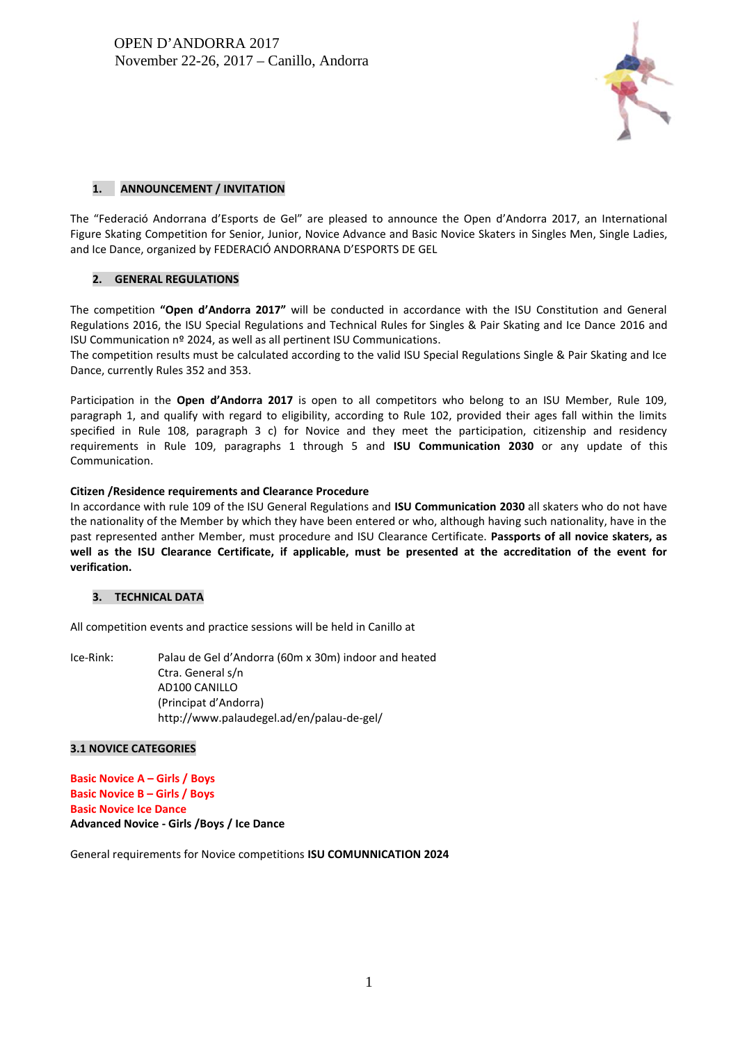

# **1. ANNOUNCEMENT / INVITATION**

The "Federació Andorrana d'Esports de Gel" are pleased to announce the Open d'Andorra 2017, an International Figure Skating Competition for Senior, Junior, Novice Advance and Basic Novice Skaters in Singles Men, Single Ladies, and Ice Dance, organized by FEDERACIÓ ANDORRANA D'ESPORTS DE GEL

# **2. GENERAL REGULATIONS**

The competition **"Open d'Andorra 2017"** will be conducted in accordance with the ISU Constitution and General Regulations 2016, the ISU Special Regulations and Technical Rules for Singles & Pair Skating and Ice Dance 2016 and ISU Communication nº 2024, as well as all pertinent ISU Communications.

The competition results must be calculated according to the valid ISU Special Regulations Single & Pair Skating and Ice Dance, currently Rules 352 and 353.

Participation in the **Open d'Andorra 2017** is open to all competitors who belong to an ISU Member, Rule 109, paragraph 1, and qualify with regard to eligibility, according to Rule 102, provided their ages fall within the limits specified in Rule 108, paragraph 3 c) for Novice and they meet the participation, citizenship and residency requirements in Rule 109, paragraphs 1 through 5 and **ISU Communication 2030** or any update of this Communication.

# **Citizen /Residence requirements and Clearance Procedure**

In accordance with rule 109 of the ISU General Regulations and **ISU Communication 2030** all skaters who do not have the nationality of the Member by which they have been entered or who, although having such nationality, have in the past represented anther Member, must procedure and ISU Clearance Certificate. **Passports of all novice skaters, as well as the ISU Clearance Certificate, if applicable, must be presented at the accreditation of the event for verification.**

# **3. TECHNICAL DATA**

All competition events and practice sessions will be held in Canillo at

Ice-Rink: Palau de Gel d'Andorra (60m x 30m) indoor and heated Ctra. General s/n AD100 CANILLO (Principat d'Andorra) http://www.palaudegel.ad/en/palau-de-gel/

# **3.1 NOVICE CATEGORIES**

**Basic Novice A – Girls / Boys Basic Novice B – Girls / Boys Basic Novice Ice Dance Advanced Novice - Girls /Boys / Ice Dance**

General requirements for Novice competitions **ISU COMUNNICATION 2024**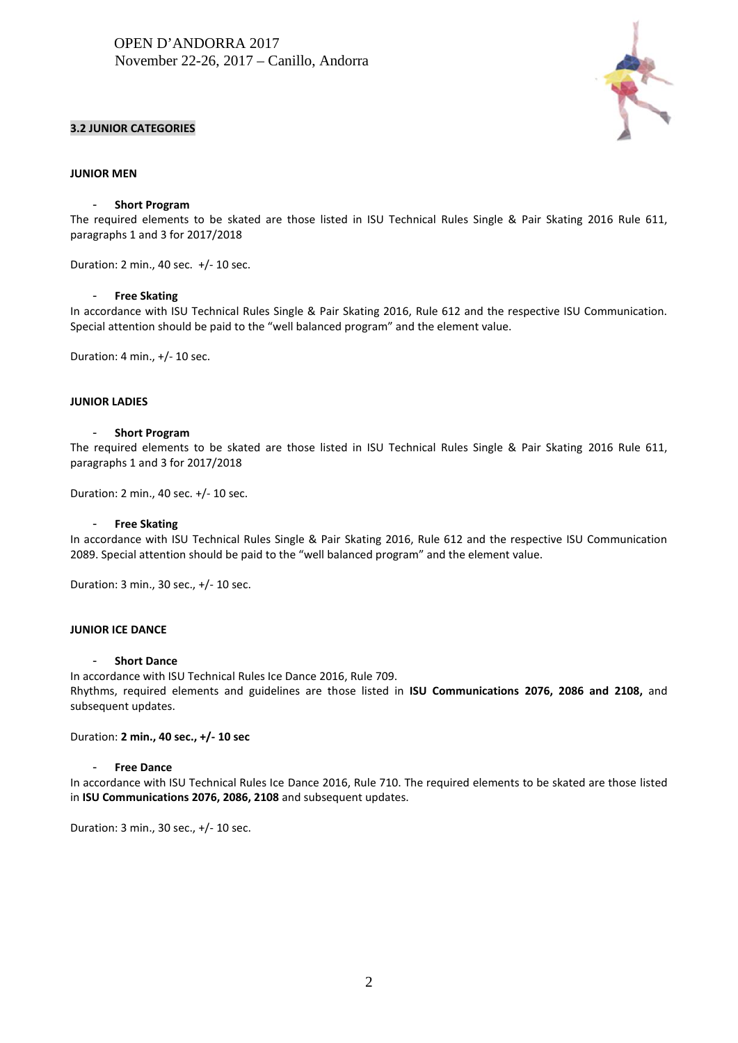## **3.2 JUNIOR CATEGORIES**



#### **JUNIOR MEN**

#### - **Short Program**

The required elements to be skated are those listed in ISU Technical Rules Single & Pair Skating 2016 Rule 611, paragraphs 1 and 3 for 2017/2018

Duration: 2 min., 40 sec. +/- 10 sec.

#### - **Free Skating**

In accordance with ISU Technical Rules Single & Pair Skating 2016, Rule 612 and the respective ISU Communication. Special attention should be paid to the "well balanced program" and the element value.

Duration: 4 min., +/- 10 sec.

#### **JUNIOR LADIES**

#### - **Short Program**

The required elements to be skated are those listed in ISU Technical Rules Single & Pair Skating 2016 Rule 611, paragraphs 1 and 3 for 2017/2018

Duration: 2 min., 40 sec. +/- 10 sec.

#### - **Free Skating**

In accordance with ISU Technical Rules Single & Pair Skating 2016, Rule 612 and the respective ISU Communication 2089. Special attention should be paid to the "well balanced program" and the element value.

Duration: 3 min., 30 sec., +/- 10 sec.

# **JUNIOR ICE DANCE**

## - **Short Dance**

In accordance with ISU Technical Rules Ice Dance 2016, Rule 709. Rhythms, required elements and guidelines are those listed in **ISU Communications 2076, 2086 and 2108,** and subsequent updates.

### Duration: **2 min., 40 sec., +/- 10 sec**

#### - **Free Dance**

In accordance with ISU Technical Rules Ice Dance 2016, Rule 710. The required elements to be skated are those listed in **ISU Communications 2076, 2086, 2108** and subsequent updates.

Duration: 3 min., 30 sec., +/- 10 sec.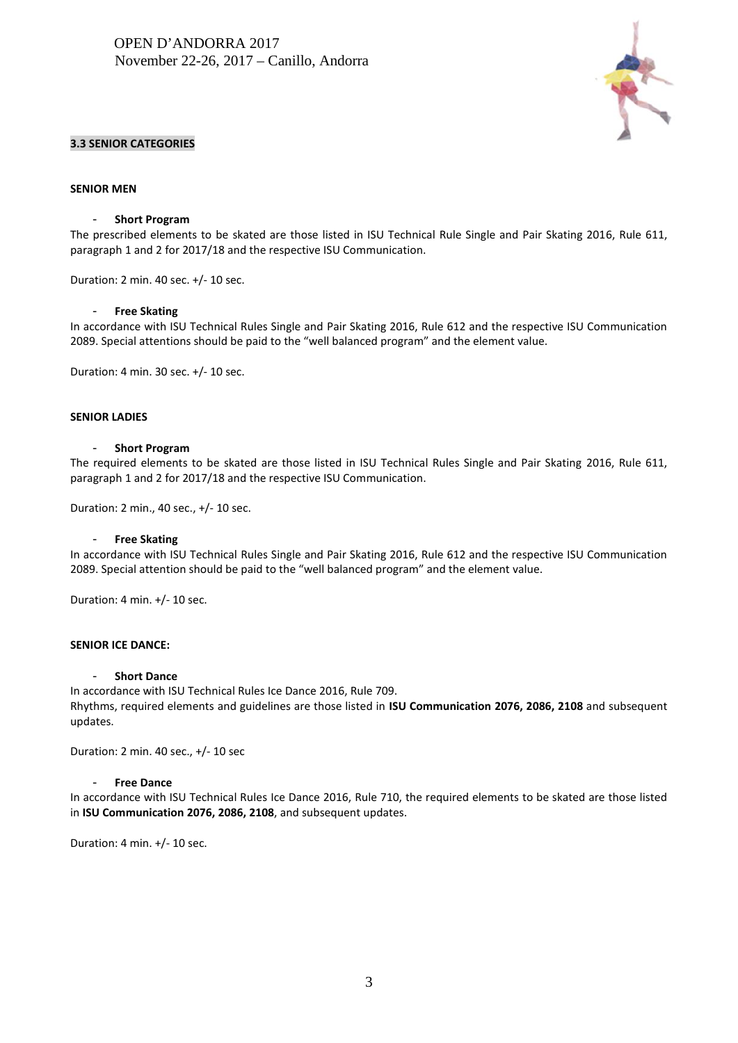

# **3.3 SENIOR CATEGORIES**

### **SENIOR MEN**

### - **Short Program**

The prescribed elements to be skated are those listed in ISU Technical Rule Single and Pair Skating 2016, Rule 611, paragraph 1 and 2 for 2017/18 and the respective ISU Communication.

Duration: 2 min. 40 sec. +/- 10 sec.

#### - **Free Skating**

In accordance with ISU Technical Rules Single and Pair Skating 2016, Rule 612 and the respective ISU Communication 2089. Special attentions should be paid to the "well balanced program" and the element value.

Duration: 4 min. 30 sec. +/- 10 sec.

#### **SENIOR LADIES**

#### - **Short Program**

The required elements to be skated are those listed in ISU Technical Rules Single and Pair Skating 2016, Rule 611, paragraph 1 and 2 for 2017/18 and the respective ISU Communication.

Duration: 2 min., 40 sec., +/- 10 sec.

#### - **Free Skating**

In accordance with ISU Technical Rules Single and Pair Skating 2016, Rule 612 and the respective ISU Communication 2089. Special attention should be paid to the "well balanced program" and the element value.

Duration: 4 min. +/- 10 sec.

# **SENIOR ICE DANCE:**

#### - **Short Dance**

In accordance with ISU Technical Rules Ice Dance 2016, Rule 709. Rhythms, required elements and guidelines are those listed in **ISU Communication 2076, 2086, 2108** and subsequent updates.

Duration: 2 min. 40 sec., +/- 10 sec

#### - **Free Dance**

In accordance with ISU Technical Rules Ice Dance 2016, Rule 710, the required elements to be skated are those listed in **ISU Communication 2076, 2086, 2108**, and subsequent updates.

Duration: 4 min. +/- 10 sec.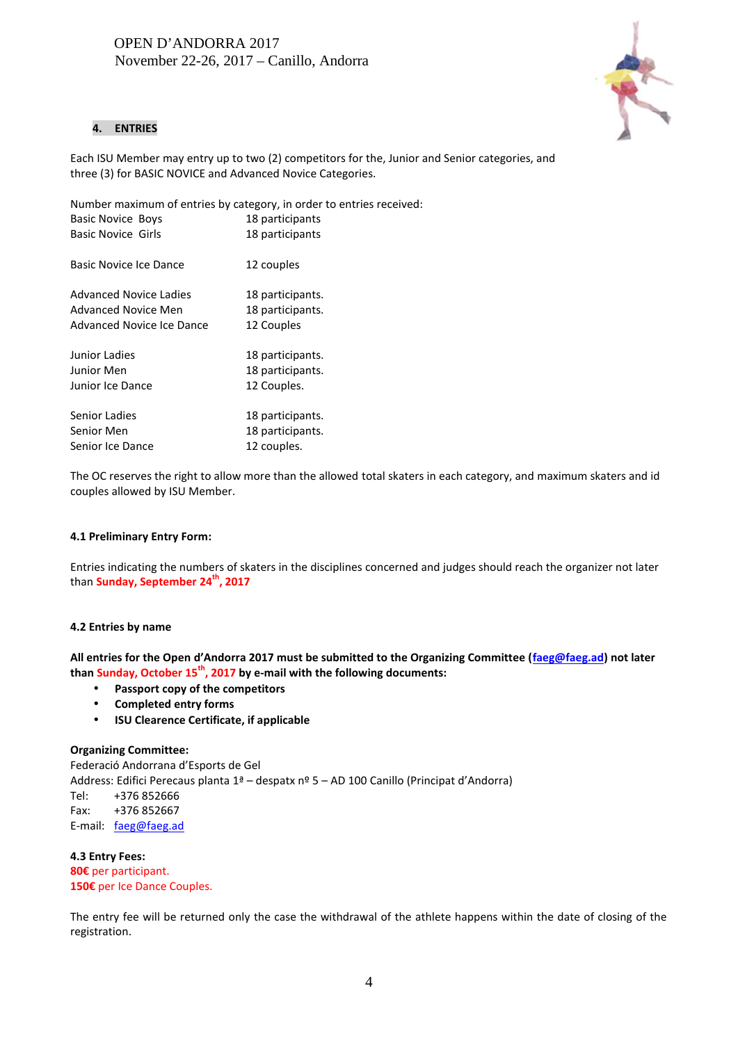

# **4. ENTRIES**

Each ISU Member may entry up to two (2) competitors for the, Junior and Senior categories, and three (3) for BASIC NOVICE and Advanced Novice Categories.

Number maximum of entries by category, in order to entries received: Basic Novice Boys 18 participants Basic Novice Girls 18 participants Basic Novice Ice Dance 12 couples Advanced Novice Ladies 18 participants. Advanced Novice Men 18 participants. Advanced Novice Ice Dance 12 Couples Junior Ladies 18 participants. Junior Men 18 participants. Junior Ice Dance 12 Couples. Senior Ladies 18 participants. Senior Men 18 participants. Senior Ice Dance 12 couples.

The OC reserves the right to allow more than the allowed total skaters in each category, and maximum skaters and id couples allowed by ISU Member.

# **4.1 Preliminary Entry Form:**

Entries indicating the numbers of skaters in the disciplines concerned and judges should reach the organizer not later than **Sunday, September 24th, 2017**

# **4.2 Entries by name**

**All entries for the Open d'Andorra 2017 must be submitted to the Organizing Committee (faeg@faeg.ad) not later than Sunday, October 15th, 2017 by e-mail with the following documents:**

- **Passport copy of the competitors**
- **Completed entry forms**
- **ISU Clearence Certificate, if applicable**

# **Organizing Committee:**

Federació Andorrana d'Esports de Gel Address: Edifici Perecaus planta 1ª – despatx nº 5 – AD 100 Canillo (Principat d'Andorra) Tel: +376 852666 Fax: +376 852667 E-mail: faeg@faeg.ad

**4.3 Entry Fees: 80€** per participant. **150€** per Ice Dance Couples.

The entry fee will be returned only the case the withdrawal of the athlete happens within the date of closing of the registration.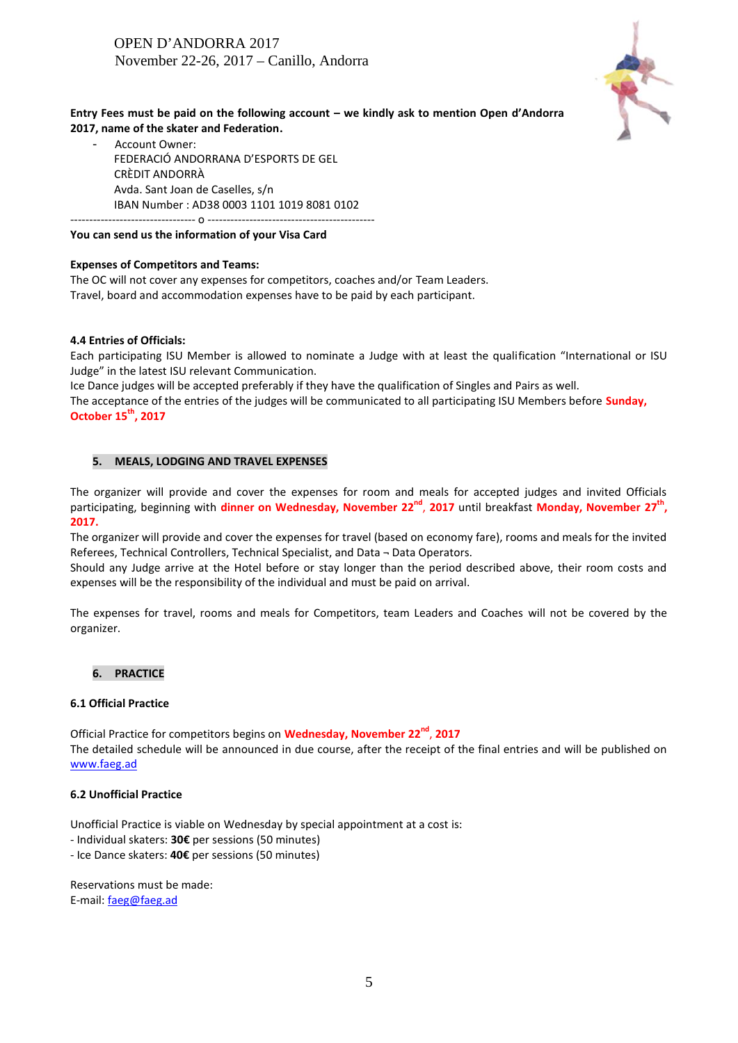

# **Entry Fees must be paid on the following account – we kindly ask to mention Open d'Andorra 2017, name of the skater and Federation.**

Account Owner: FEDERACIÓ ANDORRANA D'ESPORTS DE GEL CRÈDIT ANDORRÀ Avda. Sant Joan de Caselles, s/n IBAN Number : AD38 0003 1101 1019 8081 0102

### --------------------------------- o -------------------------------------------- **You can send us the information of your Visa Card**

## **Expenses of Competitors and Teams:**

The OC will not cover any expenses for competitors, coaches and/or Team Leaders. Travel, board and accommodation expenses have to be paid by each participant.

## **4.4 Entries of Officials:**

Each participating ISU Member is allowed to nominate a Judge with at least the qualification "International or ISU Judge" in the latest ISU relevant Communication.

Ice Dance judges will be accepted preferably if they have the qualification of Singles and Pairs as well. The acceptance of the entries of the judges will be communicated to all participating ISU Members before **Sunday, October 15th, 2017**

# **5. MEALS, LODGING AND TRAVEL EXPENSES**

The organizer will provide and cover the expenses for room and meals for accepted judges and invited Officials participating, beginning with **dinner on Wednesday, November 22nd** , **2017** until breakfast **Monday, November 27 th , 2017.**

The organizer will provide and cover the expenses for travel (based on economy fare), rooms and meals for the invited Referees, Technical Controllers, Technical Specialist, and Data ¬ Data Operators.

Should any Judge arrive at the Hotel before or stay longer than the period described above, their room costs and expenses will be the responsibility of the individual and must be paid on arrival.

The expenses for travel, rooms and meals for Competitors, team Leaders and Coaches will not be covered by the organizer.

### **6. PRACTICE**

#### **6.1 Official Practice**

Official Practice for competitors begins on **Wednesday, November 22nd** , **2017** The detailed schedule will be announced in due course, after the receipt of the final entries and will be published on www.faeg.ad

### **6.2 Unofficial Practice**

Unofficial Practice is viable on Wednesday by special appointment at a cost is:

- Individual skaters: **30€** per sessions (50 minutes)

- Ice Dance skaters: **40€** per sessions (50 minutes)

Reservations must be made: E-mail: faeg@faeg.ad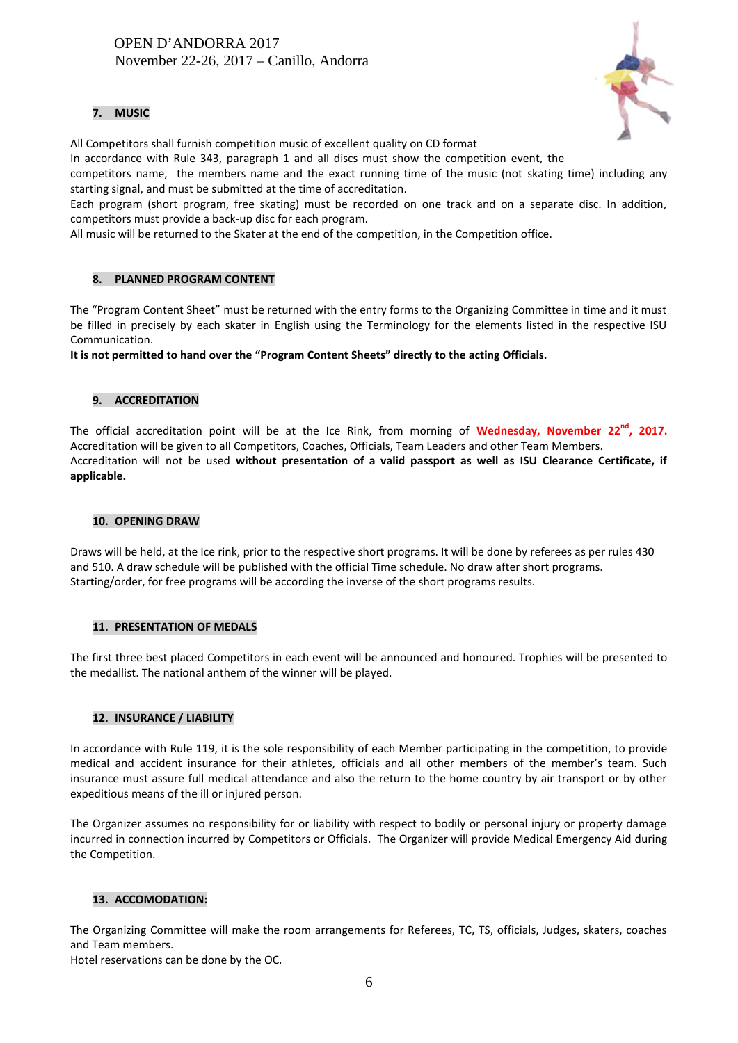# **7. MUSIC**

All Competitors shall furnish competition music of excellent quality on CD format

In accordance with Rule 343, paragraph 1 and all discs must show the competition event, the

competitors name, the members name and the exact running time of the music (not skating time) including any starting signal, and must be submitted at the time of accreditation.

Each program (short program, free skating) must be recorded on one track and on a separate disc. In addition, competitors must provide a back-up disc for each program.

All music will be returned to the Skater at the end of the competition, in the Competition office.

# **8. PLANNED PROGRAM CONTENT**

The "Program Content Sheet" must be returned with the entry forms to the Organizing Committee in time and it must be filled in precisely by each skater in English using the Terminology for the elements listed in the respective ISU Communication.

**It is not permitted to hand over the "Program Content Sheets" directly to the acting Officials.**

# **9. ACCREDITATION**

The official accreditation point will be at the Ice Rink, from morning of **Wednesday, November 22 nd , 2017.** Accreditation will be given to all Competitors, Coaches, Officials, Team Leaders and other Team Members. Accreditation will not be used **without presentation of a valid passport as well as ISU Clearance Certificate, if applicable.**

# **10. OPENING DRAW**

Draws will be held, at the Ice rink, prior to the respective short programs. It will be done by referees as per rules 430 and 510. A draw schedule will be published with the official Time schedule. No draw after short programs. Starting/order, for free programs will be according the inverse of the short programs results.

# **11. PRESENTATION OF MEDALS**

The first three best placed Competitors in each event will be announced and honoured. Trophies will be presented to the medallist. The national anthem of the winner will be played.

# **12. INSURANCE / LIABILITY**

In accordance with Rule 119, it is the sole responsibility of each Member participating in the competition, to provide medical and accident insurance for their athletes, officials and all other members of the member's team. Such insurance must assure full medical attendance and also the return to the home country by air transport or by other expeditious means of the ill or injured person.

The Organizer assumes no responsibility for or liability with respect to bodily or personal injury or property damage incurred in connection incurred by Competitors or Officials. The Organizer will provide Medical Emergency Aid during the Competition.

# **13. ACCOMODATION:**

The Organizing Committee will make the room arrangements for Referees, TC, TS, officials, Judges, skaters, coaches and Team members.

Hotel reservations can be done by the OC.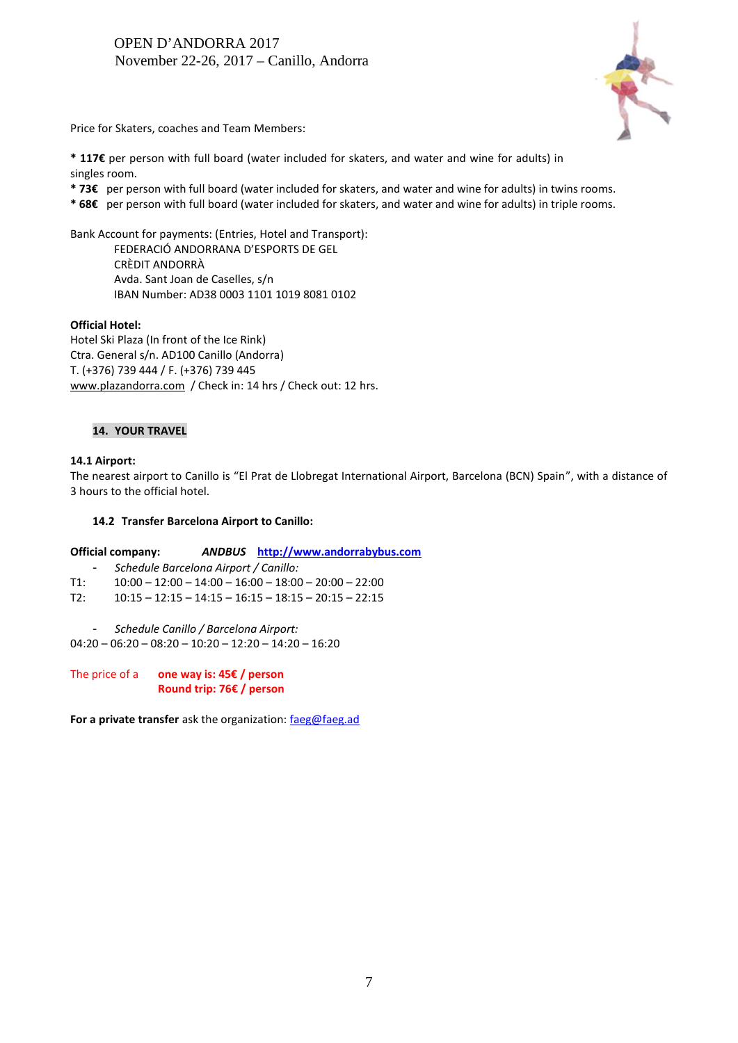

Price for Skaters, coaches and Team Members:

**\* 117€** per person with full board (water included for skaters, and water and wine for adults) in singles room.

**\* 73€** per person with full board (water included for skaters, and water and wine for adults) in twins rooms.

**\* 68€** per person with full board (water included for skaters, and water and wine for adults) in triple rooms.

Bank Account for payments: (Entries, Hotel and Transport):

FEDERACIÓ ANDORRANA D'ESPORTS DE GEL CRÈDIT ANDORRÀ Avda. Sant Joan de Caselles, s/n IBAN Number: AD38 0003 1101 1019 8081 0102

# **Official Hotel:**

Hotel Ski Plaza (In front of the Ice Rink) Ctra. General s/n. AD100 Canillo (Andorra) T. (+376) 739 444 / F. (+376) 739 445 www.plazandorra.com / Check in: 14 hrs / Check out: 12 hrs.

# **14. YOUR TRAVEL**

## **14.1 Airport:**

The nearest airport to Canillo is "El Prat de Llobregat International Airport, Barcelona (BCN) Spain", with a distance of 3 hours to the official hotel.

### **14.2 Transfer Barcelona Airport to Canillo:**

**Official company:** *ANDBUS* **http://www.andorrabybus.com**

- *Schedule Barcelona Airport / Canillo:*

 $T1: 10:00 - 12:00 - 14:00 - 16:00 - 18:00 - 20:00 - 22:00$ 

- $T2: 10:15 12:15 14:15 16:15 18:15 20:15 22:15$
- *Schedule Canillo / Barcelona Airport:*

 $04:20 - 06:20 - 08:20 - 10:20 - 12:20 - 14:20 - 16:20$ 

The price of a **one way is: 45€ / person Round trip: 76€ / person**

**For a private transfer** ask the organization: faeg@faeg.ad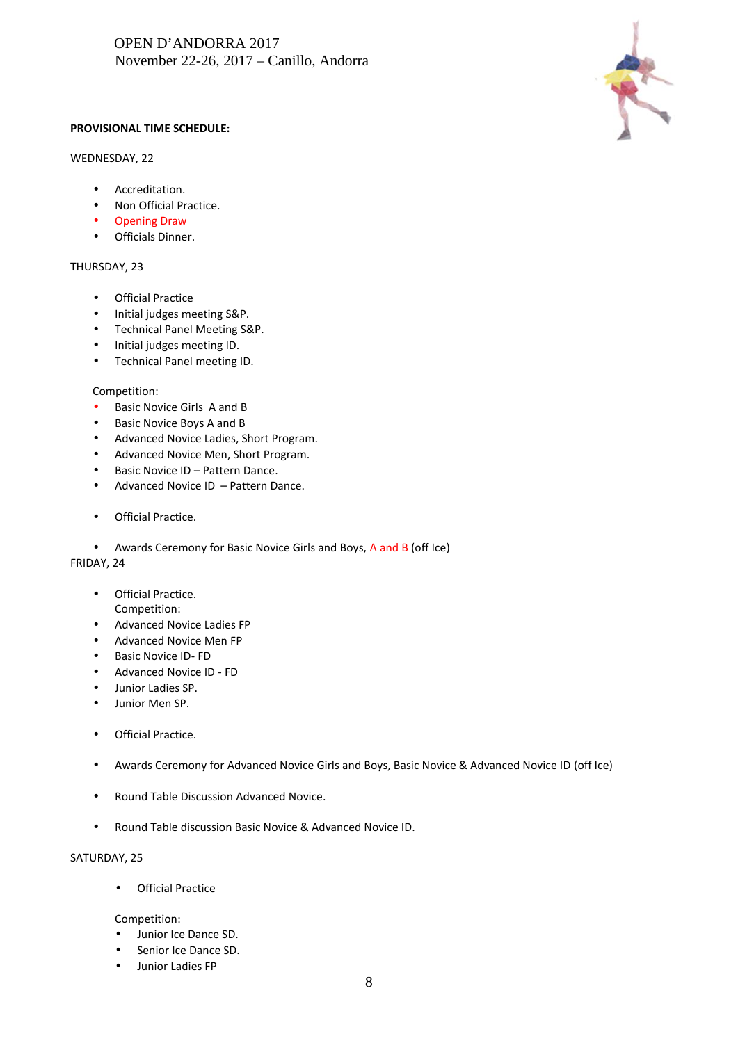

# **PROVISIONAL TIME SCHEDULE:**

# WEDNESDAY, 22

- Accreditation.
- Non Official Practice.
- Opening Draw
- Officials Dinner.

## THURSDAY, 23

- Official Practice
- Initial judges meeting S&P.
- Technical Panel Meeting S&P.
- Initial judges meeting ID.
- Technical Panel meeting ID.

#### Competition:

- **Basic Novice Girls A and B**
- Basic Novice Boys A and B
- Advanced Novice Ladies, Short Program.
- Advanced Novice Men, Short Program.
- Basic Novice ID Pattern Dance.
- Advanced Novice ID Pattern Dance.
- Official Practice.
- Awards Ceremony for Basic Novice Girls and Boys, A and B (off Ice)

### FRIDAY, 24

- **•** Official Practice. Competition:
- Advanced Novice Ladies FP
- Advanced Novice Men FP
- Basic Novice ID- FD
- Advanced Novice ID FD
- Junior Ladies SP.
- Junior Men SP.
- **•** Official Practice.
- Awards Ceremony for Advanced Novice Girls and Boys, Basic Novice & Advanced Novice ID (off Ice)
- Round Table Discussion Advanced Novice.
- Round Table discussion Basic Novice & Advanced Novice ID.

#### SATURDAY, 25

**•** Official Practice

Competition:

- Junior Ice Dance SD.
- Senior Ice Dance SD.
- Junior Ladies FP